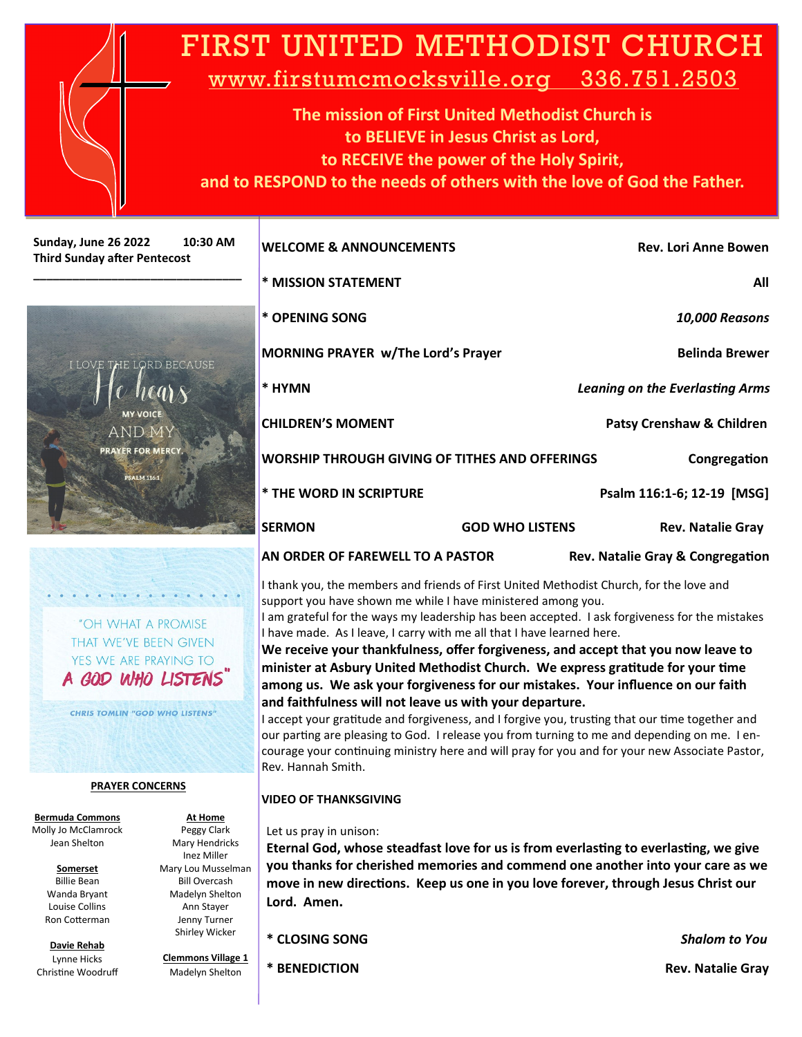| FIRST UNITED METHODIST CHURCH<br>www.firstumcmocksville.org 336.751.2503<br>The mission of First United Methodist Church is<br>to BELIEVE in Jesus Christ as Lord,<br>to RECEIVE the power of the Holy Spirit,<br>and to RESPOND to the needs of others with the love of God the Father. |                                                                                                                                 |                                                                                                                                                                                                                                                        |                              |                                                                                |                                                                 |  |
|------------------------------------------------------------------------------------------------------------------------------------------------------------------------------------------------------------------------------------------------------------------------------------------|---------------------------------------------------------------------------------------------------------------------------------|--------------------------------------------------------------------------------------------------------------------------------------------------------------------------------------------------------------------------------------------------------|------------------------------|--------------------------------------------------------------------------------|-----------------------------------------------------------------|--|
| Sunday, June 26 2022                                                                                                                                                                                                                                                                     | 10:30 AM                                                                                                                        | <b>WELCOME &amp; ANNOUNCEMENTS</b>                                                                                                                                                                                                                     |                              | <b>Rev. Lori Anne Bowen</b>                                                    |                                                                 |  |
| <b>Third Sunday after Pentecost</b>                                                                                                                                                                                                                                                      |                                                                                                                                 | * MISSION STATEMENT                                                                                                                                                                                                                                    |                              | All                                                                            |                                                                 |  |
|                                                                                                                                                                                                                                                                                          |                                                                                                                                 | * OPENING SONG                                                                                                                                                                                                                                         |                              | 10,000 Reasons                                                                 |                                                                 |  |
|                                                                                                                                                                                                                                                                                          |                                                                                                                                 | <b>MORNING PRAYER w/The Lord's Prayer</b>                                                                                                                                                                                                              |                              | <b>Belinda Brewer</b>                                                          |                                                                 |  |
| I LOVE THE LORD BECAUSE                                                                                                                                                                                                                                                                  |                                                                                                                                 | * HYMN                                                                                                                                                                                                                                                 |                              | <b>Leaning on the Everlasting Arms</b>                                         |                                                                 |  |
|                                                                                                                                                                                                                                                                                          | <b>MY VOICE</b><br><b>AND MY</b>                                                                                                | <b>CHILDREN'S MOMENT</b>                                                                                                                                                                                                                               |                              | <b>Patsy Crenshaw &amp; Children</b>                                           |                                                                 |  |
|                                                                                                                                                                                                                                                                                          | <b>PRAYER FOR MERCY.</b><br><b>PSALM 116:1</b>                                                                                  | <b>WORSHIP THROUGH GIVING OF TITHES AND OFFERINGS</b>                                                                                                                                                                                                  |                              | Congregation                                                                   |                                                                 |  |
|                                                                                                                                                                                                                                                                                          |                                                                                                                                 | * THE WORD IN SCRIPTURE                                                                                                                                                                                                                                |                              | Psalm 116:1-6; 12-19 [MSG]                                                     |                                                                 |  |
|                                                                                                                                                                                                                                                                                          |                                                                                                                                 | <b>SERMON</b>                                                                                                                                                                                                                                          | <b>GOD WHO LISTENS</b>       | <b>Rev. Natalie Gray</b>                                                       |                                                                 |  |
|                                                                                                                                                                                                                                                                                          |                                                                                                                                 | AN ORDER OF FAREWELL TO A PASTOR                                                                                                                                                                                                                       |                              | Rev. Natalie Gray & Congregation                                               |                                                                 |  |
|                                                                                                                                                                                                                                                                                          |                                                                                                                                 | I thank you, the members and friends of First United Methodist Church, for the love and<br>support you have shown me while I have ministered among you.                                                                                                |                              |                                                                                |                                                                 |  |
| "OH WHAT A PROMISE                                                                                                                                                                                                                                                                       |                                                                                                                                 | I am grateful for the ways my leadership has been accepted. I ask forgiveness for the mistakes<br>I have made. As I leave, I carry with me all that I have learned here.                                                                               |                              |                                                                                |                                                                 |  |
| THAT WE'VE BEEN GIVEN<br>YES WE ARE PRAYING TO<br>A GOD WHO LISTENS                                                                                                                                                                                                                      |                                                                                                                                 | We receive your thankfulness, offer forgiveness, and accept that you now leave to<br>minister at Asbury United Methodist Church. We express gratitude for your time<br>among us. We ask your forgiveness for our mistakes. Your influence on our faith |                              |                                                                                |                                                                 |  |
|                                                                                                                                                                                                                                                                                          |                                                                                                                                 |                                                                                                                                                                                                                                                        |                              |                                                                                | <b>CHRIS TOMLIN "GOD WHO LISTENS"</b><br><b>PRAYER CONCERNS</b> |  |
| our parting are pleasing to God. I release you from turning to me and depending on me. I en-<br>courage your continuing ministry here and will pray for you and for your new Associate Pastor,<br>Rev. Hannah Smith.                                                                     |                                                                                                                                 |                                                                                                                                                                                                                                                        |                              |                                                                                |                                                                 |  |
|                                                                                                                                                                                                                                                                                          |                                                                                                                                 |                                                                                                                                                                                                                                                        | <b>VIDEO OF THANKSGIVING</b> |                                                                                |                                                                 |  |
| <b>Bermuda Commons</b><br>Molly Jo McClamrock<br>Jean Shelton<br>Somerset<br><b>Billie Bean</b><br>Wanda Bryant<br>Louise Collins                                                                                                                                                        | At Home<br>Peggy Clark<br>Mary Hendricks<br>Inez Miller<br>Mary Lou Musselman<br>Bill Overcash<br>Madelyn Shelton<br>Ann Stayer | Let us pray in unison:<br>Eternal God, whose steadfast love for us is from everlasting to everlasting, we give<br>move in new directions. Keep us one in you love forever, through Jesus Christ our<br>Lord. Amen.                                     |                              | you thanks for cherished memories and commend one another into your care as we |                                                                 |  |
| Ron Cotterman                                                                                                                                                                                                                                                                            | Jenny Turner                                                                                                                    |                                                                                                                                                                                                                                                        |                              |                                                                                |                                                                 |  |

**\* CLOSING SONG** *Shalom to You* 

Shirley Wicker **Clemmons Village 1** Madelyn Shelton

**\* BENEDICTION Rev. Natalie Gray**

**Davie Rehab**  Lynne Hicks Christine Woodruff